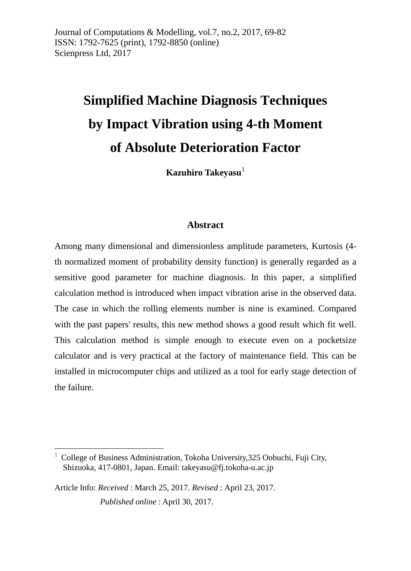# **Simplified Machine Diagnosis Techniques by Impact Vibration using 4-th Moment of Absolute Deterioration Factor**

**Kazuhiro Takeyasu**<sup>[1](#page-0-0)</sup>

#### **Abstract**

Among many dimensional and dimensionless amplitude parameters, Kurtosis (4 th normalized moment of probability density function) is generally regarded as a sensitive good parameter for machine diagnosis. In this paper, a simplified calculation method is introduced when impact vibration arise in the observed data. The case in which the rolling elements number is nine is examined. Compared with the past papers' results, this new method shows a good result which fit well. This calculation method is simple enough to execute even on a pocketsize calculator and is very practical at the factory of maintenance field. This can be installed in microcomputer chips and utilized as a tool for early stage detection of the failure.

 $\overline{a}$ 

<span id="page-0-0"></span><sup>1</sup> College of Business Administration, Tokoha University,325 Oobuchi, Fuji City, Shizuoka, 417-0801, Japan. Email[: takeyasu@fj.tokoha-u.ac.jp](mailto:takeyasu@fj.tokoha-u.ac.jp)

Article Info: *Received* : March 25, 2017*. Revised* : April 23, 2017. *Published online* : April 30, 2017.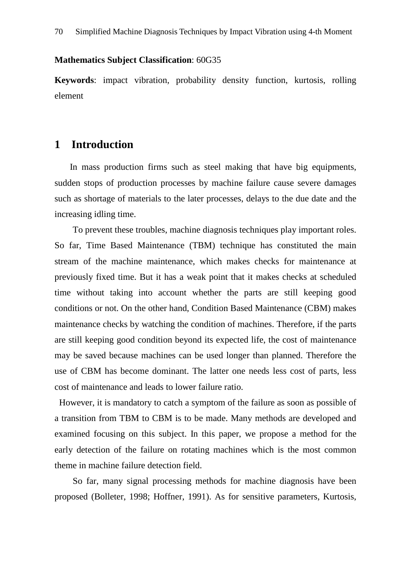#### **Mathematics Subject Classification**: 60G35

**Keywords**: impact vibration, probability density function, kurtosis, rolling element

#### **1 Introduction**

In mass production firms such as steel making that have big equipments, sudden stops of production processes by machine failure cause severe damages such as shortage of materials to the later processes, delays to the due date and the increasing idling time.

To prevent these troubles, machine diagnosis techniques play important roles. So far, Time Based Maintenance (TBM) technique has constituted the main stream of the machine maintenance, which makes checks for maintenance at previously fixed time. But it has a weak point that it makes checks at scheduled time without taking into account whether the parts are still keeping good conditions or not. On the other hand, Condition Based Maintenance (CBM) makes maintenance checks by watching the condition of machines. Therefore, if the parts are still keeping good condition beyond its expected life, the cost of maintenance may be saved because machines can be used longer than planned. Therefore the use of CBM has become dominant. The latter one needs less cost of parts, less cost of maintenance and leads to lower failure ratio.

However, it is mandatory to catch a symptom of the failure as soon as possible of a transition from TBM to CBM is to be made. Many methods are developed and examined focusing on this subject. In this paper, we propose a method for the early detection of the failure on rotating machines which is the most common theme in machine failure detection field.

So far, many signal processing methods for machine diagnosis have been proposed (Bolleter, 1998; Hoffner, 1991). As for sensitive parameters, Kurtosis,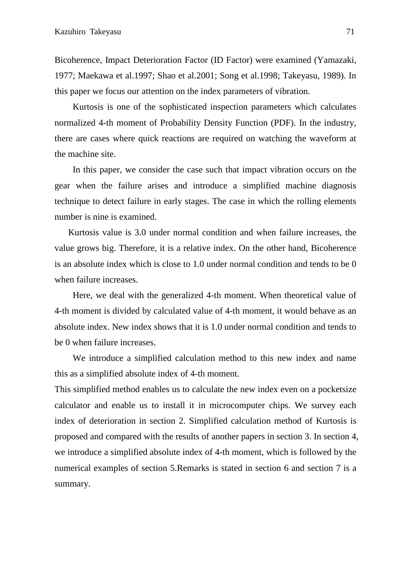Bicoherence, Impact Deterioration Factor (ID Factor) were examined (Yamazaki, 1977; Maekawa et al.1997; Shao et al.2001; Song et al.1998; Takeyasu, 1989). In this paper we focus our attention on the index parameters of vibration.

Kurtosis is one of the sophisticated inspection parameters which calculates normalized 4-th moment of Probability Density Function (PDF). In the industry, there are cases where quick reactions are required on watching the waveform at the machine site.

In this paper, we consider the case such that impact vibration occurs on the gear when the failure arises and introduce a simplified machine diagnosis technique to detect failure in early stages. The case in which the rolling elements number is nine is examined.

 Kurtosis value is 3.0 under normal condition and when failure increases, the value grows big. Therefore, it is a relative index. On the other hand, Bicoherence is an absolute index which is close to 1.0 under normal condition and tends to be 0 when failure increases.

Here, we deal with the generalized 4-th moment. When theoretical value of 4-th moment is divided by calculated value of 4-th moment, it would behave as an absolute index. New index shows that it is 1.0 under normal condition and tends to be 0 when failure increases.

We introduce a simplified calculation method to this new index and name this as a simplified absolute index of 4-th moment.

This simplified method enables us to calculate the new index even on a pocketsize calculator and enable us to install it in microcomputer chips. We survey each index of deterioration in section 2. Simplified calculation method of Kurtosis is proposed and compared with the results of another papers in section 3. In section 4, we introduce a simplified absolute index of 4-th moment, which is followed by the numerical examples of section 5.Remarks is stated in section 6 and section 7 is a summary.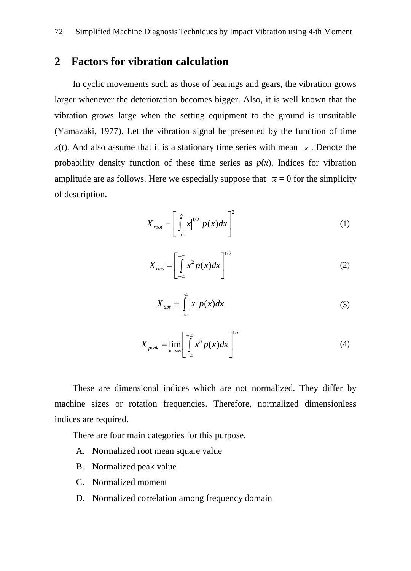# **2 Factors for vibration calculation**

In cyclic movements such as those of bearings and gears, the vibration grows larger whenever the deterioration becomes bigger. Also, it is well known that the vibration grows large when the setting equipment to the ground is unsuitable (Yamazaki, 1977). Let the vibration signal be presented by the function of time *x*(*t*). And also assume that it is a stationary time series with mean  $\bar{x}$ . Denote the probability density function of these time series as  $p(x)$ . Indices for vibration amplitude are as follows. Here we especially suppose that  $\bar{x} = 0$  for the simplicity of description.

$$
X_{root} = \left[\int_{-\infty}^{+\infty} |x|^{1/2} p(x) dx\right]^2 \tag{1}
$$

$$
X_{rms} = \left[\int_{-\infty}^{+\infty} x^2 p(x) dx\right]^{1/2} \tag{2}
$$

$$
X_{\text{abs}} = \int_{-\infty}^{+\infty} |x| \, p(x) dx \tag{3}
$$

$$
X_{peak} = \lim_{n \to \infty} \left[ \int_{-\infty}^{+\infty} x^n p(x) dx \right]^{1/n}
$$
 (4)

These are dimensional indices which are not normalized. They differ by machine sizes or rotation frequencies. Therefore, normalized dimensionless indices are required.

There are four main categories for this purpose.

- A. Normalized root mean square value
- B. Normalized peak value
- C. Normalized moment
- D. Normalized correlation among frequency domain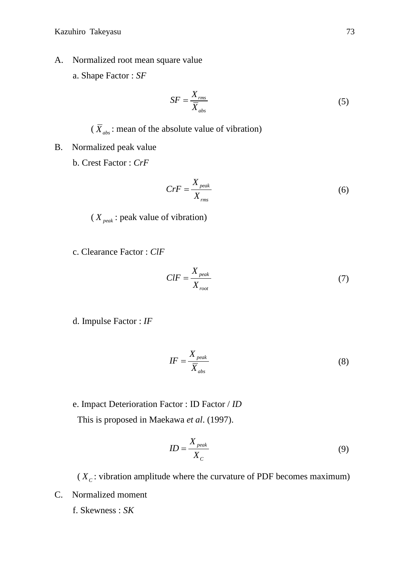- A. Normalized root mean square value
	- a. Shape Factor : *SF*

$$
SF = \frac{X_{rms}}{\overline{X}_{abs}}
$$
 (5)

 $(\overline{X}_{abs})$ : mean of the absolute value of vibration)

- B. Normalized peak value
	- b. Crest Factor : *CrF*

$$
CrF = \frac{X_{peak}}{X_{rms}}
$$
 (6)

( *X peak* : peak value of vibration)

c. Clearance Factor : *ClF*

$$
CIF = \frac{X_{peak}}{X_{root}}\tag{7}
$$

d. Impulse Factor : *IF*

$$
IF = \frac{X_{\text{peak}}}{\overline{X}_{\text{abs}}} \tag{8}
$$

e. Impact Deterioration Factor : ID Factor / *ID*

This is proposed in Maekawa *et al*. (1997).

$$
ID = \frac{X_{peak}}{X_C} \tag{9}
$$

( $X_c$ : vibration amplitude where the curvature of PDF becomes maximum) C. Normalized moment

f. Skewness : *SK*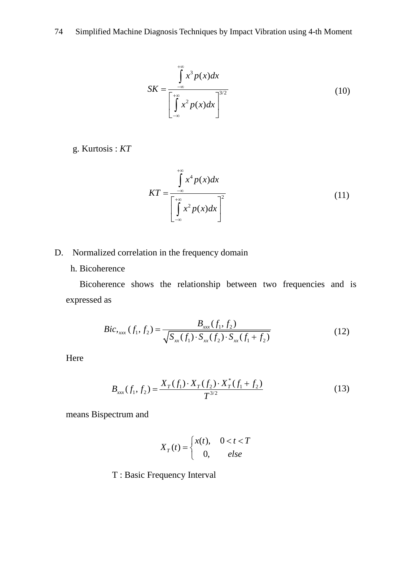74 Simplified Machine Diagnosis Techniques by Impact Vibration using 4-th Moment

$$
SK = \frac{\int_{-\infty}^{+\infty} x^3 p(x) dx}{\left[\int_{-\infty}^{+\infty} x^2 p(x) dx\right]^{3/2}}
$$
(10)

g. Kurtosis : *KT*

$$
KT = \frac{\int_{-\infty}^{+\infty} x^4 p(x) dx}{\left[\int_{-\infty}^{+\infty} x^2 p(x) dx\right]^2}
$$
(11)

#### D. Normalized correlation in the frequency domain

h. Bicoherence

Bicoherence shows the relationship between two frequencies and is expressed as

$$
Bic_{\text{xxx}}(f_1, f_2) = \frac{B_{\text{xx}}(f_1, f_2)}{\sqrt{S_{\text{xx}}(f_1) \cdot S_{\text{xx}}(f_2) \cdot S_{\text{xx}}(f_1 + f_2)}}
$$
(12)

Here

$$
B_{xxx}(f_1, f_2) = \frac{X_T(f_1) \cdot X_T(f_2) \cdot X_T^*(f_1 + f_2)}{T^{3/2}}
$$
\n(13)

means Bispectrum and

$$
X_T(t) = \begin{cases} x(t), & 0 < t < T \\ 0, & \text{else} \end{cases}
$$

T : Basic Frequency Interval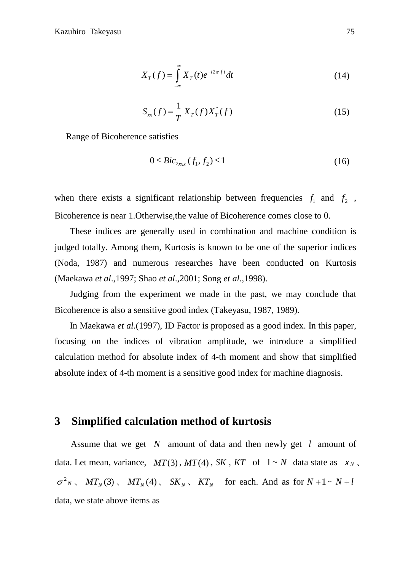$$
X_T(f) = \int_{-\infty}^{+\infty} X_T(t)e^{-i2\pi ft}dt
$$
 (14)

$$
S_{xx}(f) = \frac{1}{T} X_T(f) X_T^*(f)
$$
\n(15)

Range of Bicoherence satisfies

$$
0 \le \text{Bic}_{\text{xxx}}(f_1, f_2) \le 1 \tag{16}
$$

when there exists a significant relationship between frequencies  $f_1$  and  $f_2$ , Bicoherence is near 1.Otherwise,the value of Bicoherence comes close to 0.

These indices are generally used in combination and machine condition is judged totally. Among them, Kurtosis is known to be one of the superior indices (Noda, 1987) and numerous researches have been conducted on Kurtosis (Maekawa *et al*.,1997; Shao *et al*.,2001; Song *et al*.,1998).

Judging from the experiment we made in the past, we may conclude that Bicoherence is also a sensitive good index (Takeyasu, 1987, 1989).

In Maekawa *et al.*(1997), ID Factor is proposed as a good index. In this paper, focusing on the indices of vibration amplitude, we introduce a simplified calculation method for absolute index of 4-th moment and show that simplified absolute index of 4-th moment is a sensitive good index for machine diagnosis.

### **3 Simplified calculation method of kurtosis**

Assume that we get  $N$  amount of data and then newly get  $l$  amount of data. Let mean, variance,  $MT(3)$ ,  $MT(4)$ ,  $SK$ ,  $KT$  of  $1 \sim N$  data state as  $x_N$ ,  $\sigma^2 N$ ,  $MT_N(3)$ ,  $MT_N(4)$ ,  $SK_N$ ,  $KT_N$  for each. And as for  $N+1 \sim N+l$ data, we state above items as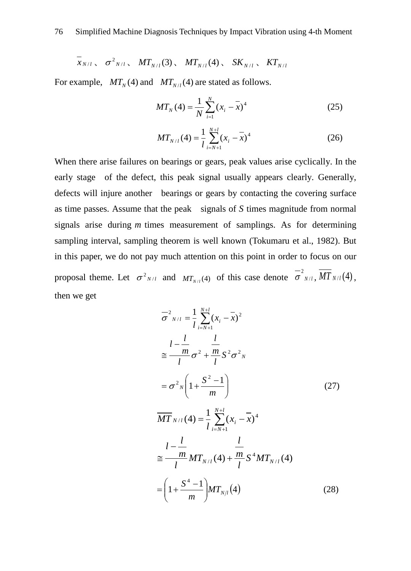$$
\bar{x}_{N/l}
$$
,  $\sigma^2_{N/l}$ ,  $MT_{N/l}(3)$ ,  $MT_{N/l}(4)$ ,  $SK_{N/l}$ ,  $KT_{N/l}$ 

For example,  $MT_N(4)$  and  $MT_{N/l}(4)$  are stated as follows.

$$
MT_{N}(4) = \frac{1}{N} \sum_{i=1}^{N} (x_{i} - \overline{x})^{4}
$$
 (25)

$$
MT_{N/l}(4) = \frac{1}{l} \sum_{i=N+1}^{N+l} (x_i - \overline{x})^4
$$
 (26)

When there arise failures on bearings or gears, peak values arise cyclically. In the early stage of the defect, this peak signal usually appears clearly. Generally, defects will injure another bearings or gears by contacting the covering surface as time passes. Assume that the peak signals of  $S$  times magnitude from normal signals arise during  $m$  times measurement of samplings. As for determining sampling interval, sampling theorem is well known (Tokumaru et al., 1982). But in this paper, we do not pay much attention on this point in order to focus on our proposal theme. Let  $\sigma^2_{N/l}$  and  $MT_{N/l}(4)$  of this case denote  $\sigma^2_{N/l}$ ,  $\overline{MT}_{N/l}(4)$ , then we get

$$
\overline{\sigma}_{N/I}^{2} = \frac{1}{l} \sum_{i=N+1}^{N+l} (x_{i} - \overline{x})^{2}
$$
\n
$$
\leq \frac{l - \frac{l}{m}}{l} \sigma^{2} + \frac{m}{l} S^{2} \sigma^{2} N
$$
\n
$$
= \sigma^{2} N \left( 1 + \frac{S^{2} - 1}{m} \right) \qquad (27)
$$
\n
$$
\overline{MT}_{N/I}(4) = \frac{1}{l} \sum_{i=N+1}^{N+l} (x_{i} - \overline{x})^{4}
$$
\n
$$
\leq \frac{l - \frac{l}{m}}{l} MT_{N/I}(4) + \frac{m}{l} S^{4} MT_{N/I}(4)
$$
\n
$$
= \left( 1 + \frac{S^{4} - 1}{m} \right) MT_{N/l}(4) \qquad (28)
$$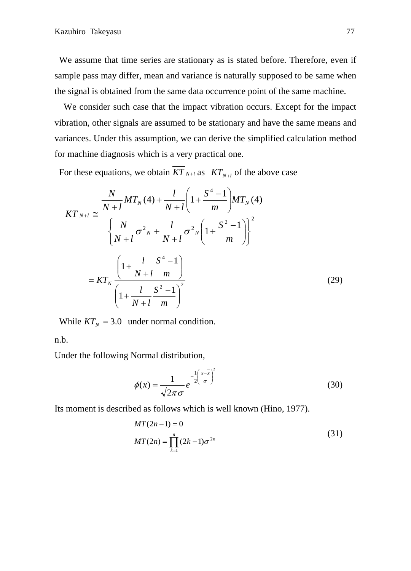We assume that time series are stationary as is stated before. Therefore, even if sample pass may differ, mean and variance is naturally supposed to be same when the signal is obtained from the same data occurrence point of the same machine.

We consider such case that the impact vibration occurs. Except for the impact vibration, other signals are assumed to be stationary and have the same means and variances. Under this assumption, we can derive the simplified calculation method for machine diagnosis which is a very practical one.

For these equations, we obtain  $KT_{N+1}$  as  $KT_{N+1}$  of the above case

$$
\overline{KT}_{N+l} \approx \frac{\frac{N}{N+l}MT_N(4) + \frac{l}{N+l} \left(1 + \frac{S^4 - 1}{m}\right) MT_N(4)}{\left\{\frac{N}{N+l} \sigma^2 N + \frac{l}{N+l} \sigma^2 N \left(1 + \frac{S^2 - 1}{m}\right)\right\}^2}
$$
\n
$$
= KT_N \frac{\left(1 + \frac{l}{N+l} \frac{S^4 - 1}{m}\right)}{\left(1 + \frac{l}{N+l} \frac{S^2 - 1}{m}\right)^2}
$$
\n(29)

While  $KT_N = 3.0$  under normal condition.

n.b.

Under the following Normal distribution,

$$
\phi(x) = \frac{1}{\sqrt{2\pi}\sigma} e^{-\frac{1}{2}\left(\frac{x-\overline{x}}{\sigma}\right)^2}
$$
(30)

Its moment is described as follows which is well known (Hino, 1977).

$$
MT(2n-1) = 0
$$
  

$$
MT(2n) = \prod_{k=1}^{n} (2k-1)\sigma^{2n}
$$
 (31)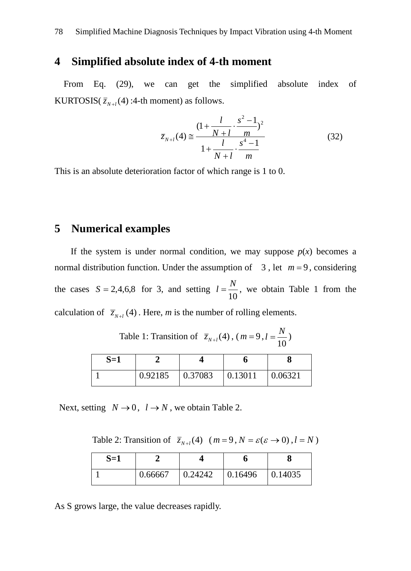### **4 Simplified absolute index of 4-th moment**

From Eq. (29), we can get the simplified absolute index of KURTOSIS( $\overline{z}_{N+1}(4)$ :4-th moment) as follows.

$$
\overline{z}_{N+l}(4) \approx \frac{(1 + \frac{l}{N+l} \cdot \frac{s^2 - 1}{m})^2}{1 + \frac{l}{N+l} \cdot \frac{s^4 - 1}{m}}
$$
(32)

This is an absolute deterioration factor of which range is 1 to 0.

### **5 Numerical examples**

If the system is under normal condition, we may suppose  $p(x)$  becomes a normal distribution function. Under the assumption of  $3$ , let  $m=9$ , considering the cases  $S = 2,4,6,8$  for 3, and setting  $l = \frac{N}{10}$ , we obtain Table 1 from the calculation of  $\overline{z}_{N+1}(4)$ . Here, *m* is the number of rolling elements.

Table 1: Transition of  $\bar{z}_{N+l}(4)$ ,  $(m=9, l=\frac{N}{10})$ 

| $S=1$ |         |         |         |         |
|-------|---------|---------|---------|---------|
|       | 0.92185 | 0.37083 | 0.13011 | 0.06321 |

Next, setting  $N \rightarrow 0$ ,  $l \rightarrow N$ , we obtain Table 2.

Table 2: Transition of  $\overline{z}_{N+l}(4)$   $(m=9, N = \varepsilon (\varepsilon \rightarrow 0), l = N)$ 

| $S=1$ |         |         |         |         |
|-------|---------|---------|---------|---------|
|       | 0.66667 | 0.24242 | 0.16496 | 0.14035 |

As S grows large, the value decreases rapidly.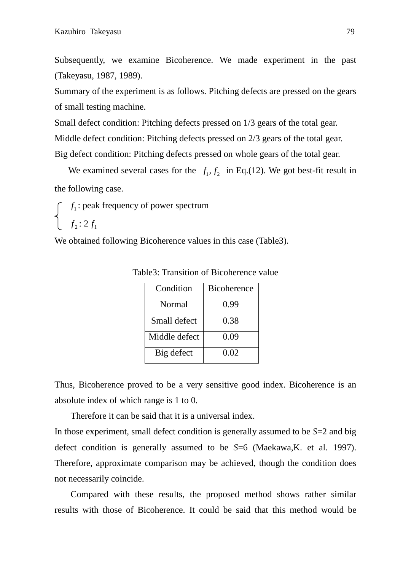Subsequently, we examine Bicoherence. We made experiment in the past (Takeyasu, 1987, 1989).

Summary of the experiment is as follows. Pitching defects are pressed on the gears of small testing machine.

Small defect condition: Pitching defects pressed on 1/3 gears of the total gear. Middle defect condition: Pitching defects pressed on 2/3 gears of the total gear. Big defect condition: Pitching defects pressed on whole gears of the total gear.

We examined several cases for the  $f_1, f_2$  in Eq.(12). We got best-fit result in the following case.

 $f_1$ : peak frequency of power spectrum  $\left\{\n \begin{array}{c}\n f_2: 2 f_1\n\end{array}\n\right\}$ 

We obtained following Bicoherence values in this case (Table3).

| Condition     | <b>Bicoherence</b> |  |
|---------------|--------------------|--|
| Normal        | 0.99               |  |
| Small defect  | 0.38               |  |
| Middle defect | 0.09               |  |
| Big defect    | 0.02               |  |

Table3: Transition of Bicoherence value

Thus, Bicoherence proved to be a very sensitive good index. Bicoherence is an absolute index of which range is 1 to 0.

Therefore it can be said that it is a universal index.

In those experiment, small defect condition is generally assumed to be *S*=2 and big defect condition is generally assumed to be *S*=6 (Maekawa,K. et al. 1997). Therefore, approximate comparison may be achieved, though the condition does not necessarily coincide.

Compared with these results, the proposed method shows rather similar results with those of Bicoherence. It could be said that this method would be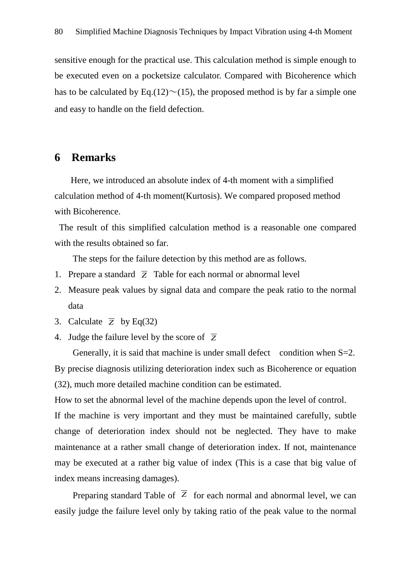sensitive enough for the practical use. This calculation method is simple enough to be executed even on a pocketsize calculator. Compared with Bicoherence which has to be calculated by Eq.(12) $\sim$ (15), the proposed method is by far a simple one and easy to handle on the field defection.

# **6 Remarks**

Here, we introduced an absolute index of 4-th moment with a simplified calculation method of 4-th moment(Kurtosis). We compared proposed method with Bicoherence.

The result of this simplified calculation method is a reasonable one compared with the results obtained so far.

The steps for the failure detection by this method are as follows.

- 1. Prepare a standard  $\overline{z}$  Table for each normal or abnormal level
- 2. Measure peak values by signal data and compare the peak ratio to the normal data
- 3. Calculate  $\overline{z}$  by Eq(32)
- 4. Judge the failure level by the score of *Z*

Generally, it is said that machine is under small defect condition when  $S=2$ . By precise diagnosis utilizing deterioration index such as Bicoherence or equation (32), much more detailed machine condition can be estimated.

How to set the abnormal level of the machine depends upon the level of control.

If the machine is very important and they must be maintained carefully, subtle change of deterioration index should not be neglected. They have to make maintenance at a rather small change of deterioration index. If not, maintenance may be executed at a rather big value of index (This is a case that big value of index means increasing damages).

Preparing standard Table of  $\overline{Z}$  for each normal and abnormal level, we can easily judge the failure level only by taking ratio of the peak value to the normal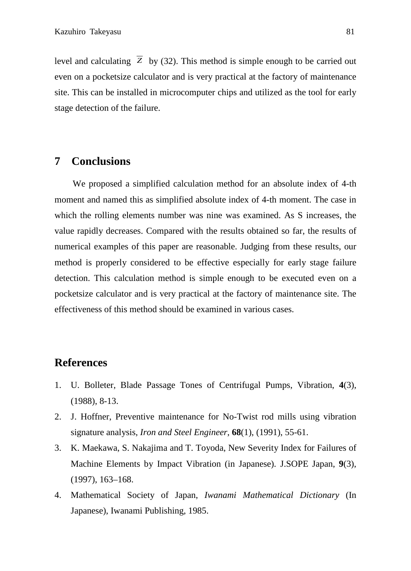level and calculating  $\overline{Z}$  by (32). This method is simple enough to be carried out even on a pocketsize calculator and is very practical at the factory of maintenance site. This can be installed in microcomputer chips and utilized as the tool for early stage detection of the failure.

### **7 Conclusions**

We proposed a simplified calculation method for an absolute index of 4-th moment and named this as simplified absolute index of 4-th moment. The case in which the rolling elements number was nine was examined. As S increases, the value rapidly decreases. Compared with the results obtained so far, the results of numerical examples of this paper are reasonable. Judging from these results, our method is properly considered to be effective especially for early stage failure detection. This calculation method is simple enough to be executed even on a pocketsize calculator and is very practical at the factory of maintenance site. The effectiveness of this method should be examined in various cases.

### **References**

- 1. U. Bolleter, Blade Passage Tones of Centrifugal Pumps, Vibration, **4**(3), (1988), 8-13.
- 2. J. Hoffner, Preventive maintenance for No-Twist rod mills using vibration signature analysis, *Iron and Steel Engineer*, **68**(1), (1991), 55-61.
- 3. K. Maekawa, S. Nakajima and T. Toyoda, New Severity Index for Failures of Machine Elements by Impact Vibration (in Japanese). J.SOPE Japan, **9**(3), (1997), 163–168.
- 4. Mathematical Society of Japan, *Iwanami Mathematical Dictionary* (In Japanese), Iwanami Publishing, 1985.